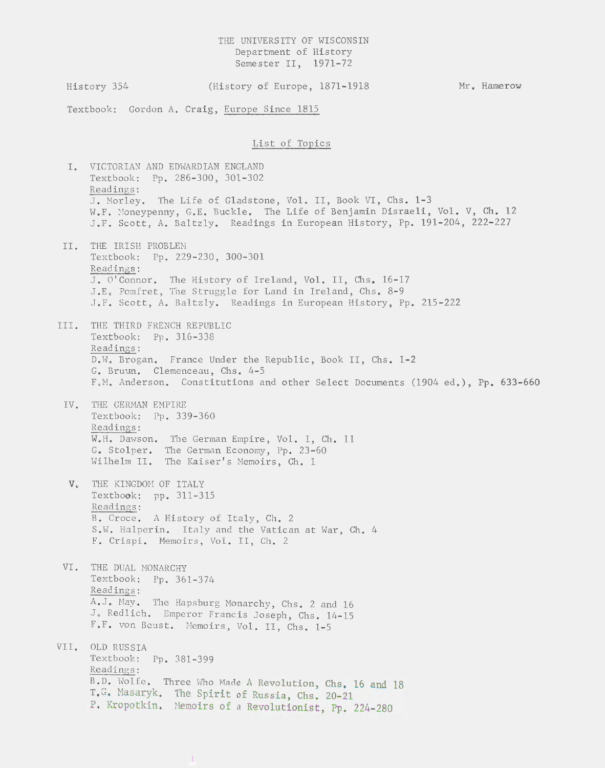## THE UNIVERSITY OF WISCONSIN Department of History Semester II, 1971-72

History 354 (History of Europe, 1871-1918 Mr. Hamerow

Textbook: Gordon A. Craig, Europe Since 1815

## List of Topics

I. VICTORIAN AND EDWARDIAN ENGLAND Textbook: Pp. 286-300, 301-302 Readings: J. Morley. The Life of Gladstone, Vol. II, Book VI, Chs. 1-3 W.F. Moneypenny, G.E. Buckle. The Life of Benjamin Disraeli, Vol. V, Ch. 12 J.F. Scott, A. Baltzly. Readings in European History, Pp. 191-204, 222-227 II. THE IRISH PROBLEM Textbook: Pp. 229-230, 300-301 Readings: J. O'Connor. The History of Ireland, Vol. II, Chs. 16-17 J.E. Pomfret, The Struggle for Land in Ireland, Chs. 8-9 J.F. Scott, A. Baltzly. Readings in European History, Pp. 215-222 III. THE THIRD FRENCH REPUBLIC Textbook: Pp. 316-338 Readings: D.W. Brogan. France Under the Republic, Book II, Chs. 1-2 G. Bruun. Clemenceau, Chs. 4-5 F.M. Anderson. Constitutions and other Select Documents (1904 ed.), Pp. 633-660 IV. THE GERMAN EMPIRE Textbook: Pp. 339-360 Readings: W.H. Dawson. The German Empire, Vol. I, Ch. 11 G. Stolper. Wilhelm II. The German Economy, Pp. 23-60 The Kaiser's Memoirs, Ch. 1 V. THE KINGDOM OF ITALY Textbook: pp. 311-315 Readings: B. Croce. A History of Italy, Ch. 2 s.w. Halperin. Italy and the Vatican at War, Ch. 4 F. Crispi. Memoirs, Vol. II, Ch. 2 VI. THE DUAL MONARCHY Textbook: Pp. 361-374 Readings: A.J. May. The Hapsburg Monarchy, Chs. 2 and 16 J. Redlich. Emperor Francis Joseph, Chs. 14-15 F.F. von Beust. Memoirs, Vol. II, Chs. 1-5 VII. OLD RUSSIA Textbook: Pp. 381-399 Readings: B.D. Wolfe. Three Who Made A Revolution, Chs. 16 and 18 T.G. Masaryk. The Spirit of Russia, Chs. 20-21 P. Kropotkin. Memoirs of a Revolutionist, Pp. 224-280